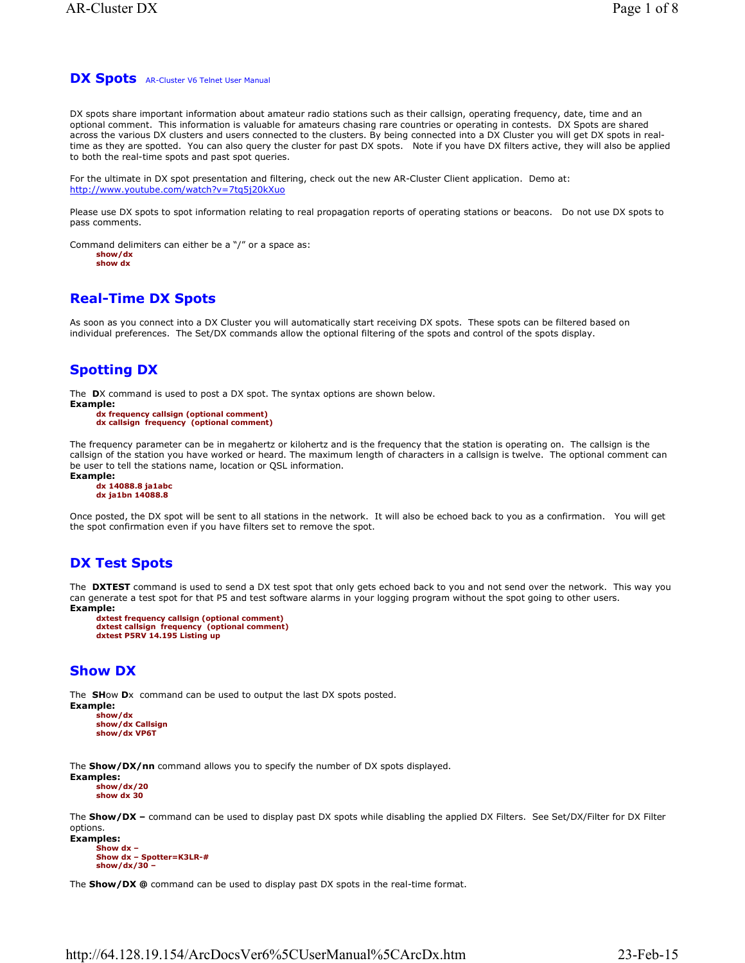## **DX Spots** AR-Cluster V6 Telnet User Manual

DX spots share important information about amateur radio stations such as their callsign, operating frequency, date, time and an optional comment. This information is valuable for amateurs chasing rare countries or operating in contests. DX Spots are shared across the various DX clusters and users connected to the clusters. By being connected into a DX Cluster you will get DX spots in realtime as they are spotted. You can also query the cluster for past DX spots. Note if you have DX filters active, they will also be applied to both the real-time spots and past spot queries.

For the ultimate in DX spot presentation and filtering, check out the new AR-Cluster Client application. Demo at: http://www.youtube.com/watch?v=7tq5j20kXuo

Please use DX spots to spot information relating to real propagation reports of operating stations or beacons. Do not use DX spots to pass comments.

Command delimiters can either be a "/" or a space as: **show/dx show dx**

# **Real-Time DX Spots**

As soon as you connect into a DX Cluster you will automatically start receiving DX spots. These spots can be filtered based on individual preferences. The Set/DX commands allow the optional filtering of the spots and control of the spots display.

# **Spotting DX**

The **D**X command is used to post a DX spot. The syntax options are shown below.

```
Example:
     dx frequency callsign (optional comment)
```

```
dx callsign frequency (optional comment)
```
The frequency parameter can be in megahertz or kilohertz and is the frequency that the station is operating on. The callsign is the callsign of the station you have worked or heard. The maximum length of characters in a callsign is twelve. The optional comment can be user to tell the stations name, location or QSL information.

**Example:**

```
dx 14088.8 ja1abc
dx ja1bn 14088.8
```
Once posted, the DX spot will be sent to all stations in the network. It will also be echoed back to you as a confirmation. You will get the spot confirmation even if you have filters set to remove the spot.

# **DX Test Spots**

The **DXTEST** command is used to send a DX test spot that only gets echoed back to you and not send over the network. This way you can generate a test spot for that P5 and test software alarms in your logging program without the spot going to other users. **Example:**

```
dxtest frequency callsign (optional comment)
dxtest callsign frequency (optional comment)
dxtest P5RV 14.195 Listing up
```
# **Show DX**

The **SH**ow **D**x command can be used to output the last DX spots posted. **Example:**

**show/dx show/dx Callsign show/dx VP6T**

The **Show/DX/nn** command allows you to specify the number of DX spots displayed.

**Examples: show/dx/20 show dx 30**

The **Show/DX –** command can be used to display past DX spots while disabling the applied DX Filters. See Set/DX/Filter for DX Filter options.

```
Examples:
     Show dx –
     Show dx – Spotter=K3LR-#
     show/dx/30 –
```
The **Show/DX @** command can be used to display past DX spots in the real-time format.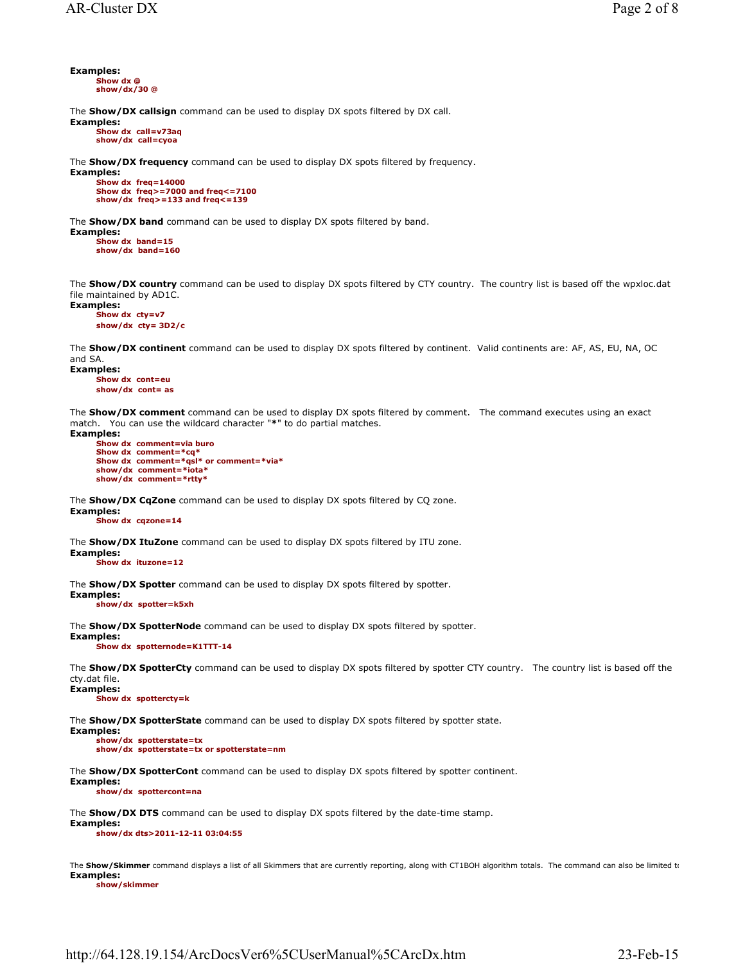**Examples: Show dx @ show/dx/30 @**

The **Show/DX callsign** command can be used to display DX spots filtered by DX call.

**Examples: Show dx call=v73aq show/dx call=cyoa**

The **Show/DX frequency** command can be used to display DX spots filtered by frequency.

**Examples: Show dx freq=14000 Show dx freq>=7000 and freq<=7100 show/dx freq>=133 and freq<=139**

The **Show/DX band** command can be used to display DX spots filtered by band.

**Examples: Show dx band=15 show/dx band=160**

The **Show/DX country** command can be used to display DX spots filtered by CTY country. The country list is based off the wpxloc.dat file maintained by AD1C.

**Examples: Show dx cty=v7 show/dx cty= 3D2/c**

The **Show/DX continent** command can be used to display DX spots filtered by continent. Valid continents are: AF, AS, EU, NA, OC and SA

**Examples:**

**Show dx cont=eu show/dx cont= as**

The **Show/DX comment** command can be used to display DX spots filtered by comment. The command executes using an exact match. You can use the wildcard character "**\***" to do partial matches. **Examples:**

**Show dx comment=via buro Show dx comment=\*cq\* Show dx comment=\*qsl\* or comment=\*via\* show/dx comment=\*iota\* show/dx comment=\*rtty\***

The **Show/DX CqZone** command can be used to display DX spots filtered by CQ zone.

**Examples: Show dx cqzone=14**

The **Show/DX ItuZone** command can be used to display DX spots filtered by ITU zone. **Examples:**

**Show dx ituzone=12**

The **Show/DX Spotter** command can be used to display DX spots filtered by spotter.

**Examples: show/dx spotter=k5xh**

The **Show/DX SpotterNode** command can be used to display DX spots filtered by spotter.

**Examples: Show dx spotternode=K1TTT-14**

The **Show/DX SpotterCty** command can be used to display DX spots filtered by spotter CTY country. The country list is based off the cty.dat file. **Examples:**

**Show dx spottercty=k**

The **Show/DX SpotterState** command can be used to display DX spots filtered by spotter state.

**Examples: show/dx spotterstate=tx show/dx spotterstate=tx or spotterstate=nm**

The **Show/DX SpotterCont** command can be used to display DX spots filtered by spotter continent.

**Examples: show/dx spottercont=na**

The **Show/DX DTS** command can be used to display DX spots filtered by the date-time stamp.

**Examples: show/dx dts>2011-12-11 03:04:55**

The Show/Skimmer command displays a list of all Skimmers that are currently reporting, along with CT1BOH algorithm totals. The command can also be limited to **Examples:**

**show/skimmer**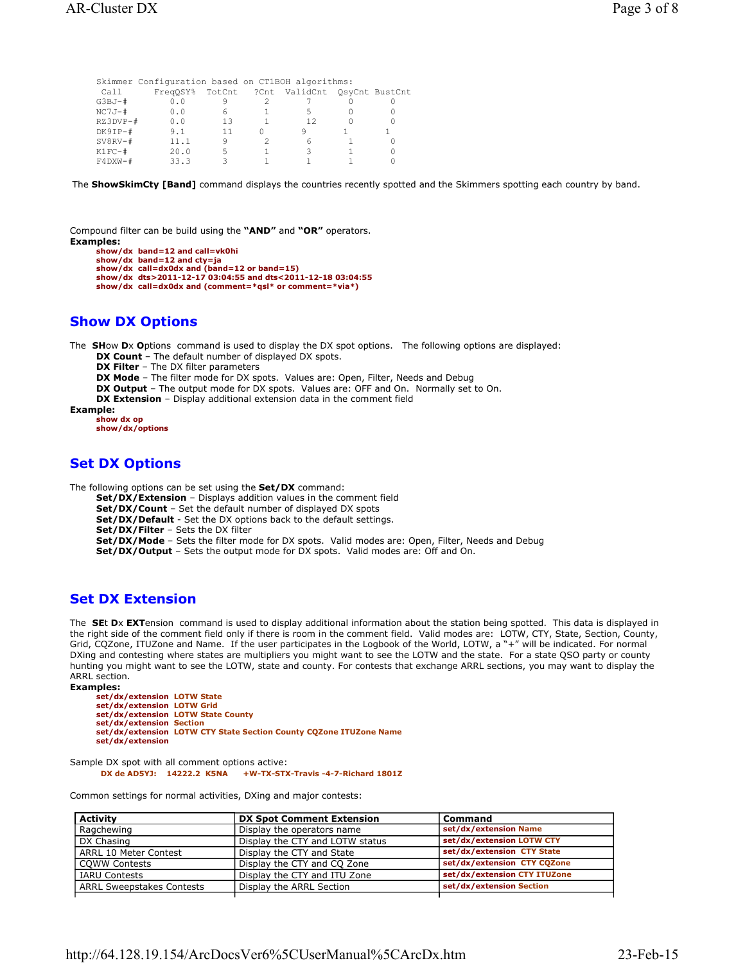|             | Skimmer Configuration based on CT1BOH algorithms: |    |                                              |  |
|-------------|---------------------------------------------------|----|----------------------------------------------|--|
| Call        |                                                   |    | FreqOSY% TotCnt ?Cnt ValidCnt OsyCnt BustCnt |  |
| G3BJ-#      | 0.0                                               |    |                                              |  |
| NC7J-#      | 0.0                                               | 6  | 5                                            |  |
| RZ3DVP-#    | 0.0                                               | 13 | 12                                           |  |
| DK9IP-#     | 9.1                                               |    |                                              |  |
| $SV8RV - #$ | 11.1                                              | 9  | ศ                                            |  |
| K1FC-#      | 20.0                                              | 5  |                                              |  |
| $F4DXW - #$ | 33.3                                              |    |                                              |  |

The **ShowSkimCty [Band]** command displays the countries recently spotted and the Skimmers spotting each country by band.

Compound filter can be build using the **"AND"** and **"OR"** operators. **Examples:**

```
show/dx band=12 and call=vk0hi
show/dx band=12 and cty=ja
show/dx call=dx0dx and (band=12 or band=15)
show/dx dts>2011-12-17 03:04:55 and dts<2011-12-18 03:04:55
show/dx call=dx0dx and (comment=*qsl* or comment=*via*)
```
## **Show DX Options**

The **SH**ow **D**x **O**ptions command is used to display the DX spot options. The following options are displayed:

**DX Count** – The default number of displayed DX spots.

**DX Filter** – The DX filter parameters

**DX Mode** – The filter mode for DX spots. Values are: Open, Filter, Needs and Debug

**DX Output** – The output mode for DX spots. Values are: OFF and On. Normally set to On.

**DX Extension** – Display additional extension data in the comment field

**Example:**

**show dx op show/dx/options**

## **Set DX Options**

The following options can be set using the **Set/DX** command:

**Set/DX/Extension** – Displays addition values in the comment field

**Set/DX/Count** – Set the default number of displayed DX spots

**Set/DX/Default** - Set the DX options back to the default settings.

**Set/DX/Filter** – Sets the DX filter

**Set/DX/Mode** – Sets the filter mode for DX spots. Valid modes are: Open, Filter, Needs and Debug

**Set/DX/Output** – Sets the output mode for DX spots. Valid modes are: Off and On.

## **Set DX Extension**

The **SE**t **D**x **EXT**ension command is used to display additional information about the station being spotted. This data is displayed in the right side of the comment field only if there is room in the comment field. Valid modes are: LOTW, CTY, State, Section, County, Grid, CQZone, ITUZone and Name. If the user participates in the Logbook of the World, LOTW, a "+" will be indicated. For normal DXing and contesting where states are multipliers you might want to see the LOTW and the state. For a state QSO party or county hunting you might want to see the LOTW, state and county. For contests that exchange ARRL sections, you may want to display the ARRL section.

**Examples: set/dx/extension LOTW State set/dx/extension LOTW Grid set/dx/extension LOTW State County set/dx/extension Section set/dx/extension LOTW CTY State Section County CQZone ITUZone Name set/dx/extension** 

Sample DX spot with all comment options active: **DX de AD5YJ: 14222.2 K5NA +W-TX-STX-Travis -4-7-Richard 1801Z**

Common settings for normal activities, DXing and major contests:

| <b>Activity</b>                  | <b>DX Spot Comment Extension</b> | Command                      |
|----------------------------------|----------------------------------|------------------------------|
| Ragchewing                       | Display the operators name       | set/dx/extension Name        |
| DX Chasing                       | Display the CTY and LOTW status  | set/dx/extension LOTW CTY    |
| ARRL 10 Meter Contest            | Display the CTY and State        | set/dx/extension CTY State   |
| <b>COWW Contests</b>             | Display the CTY and CQ Zone      | set/dx/extension CTY CQZone  |
| <b>IARU Contests</b>             | Display the CTY and ITU Zone     | set/dx/extension CTY ITUZone |
| <b>ARRL Sweepstakes Contests</b> | Display the ARRL Section         | set/dx/extension Section     |
|                                  |                                  |                              |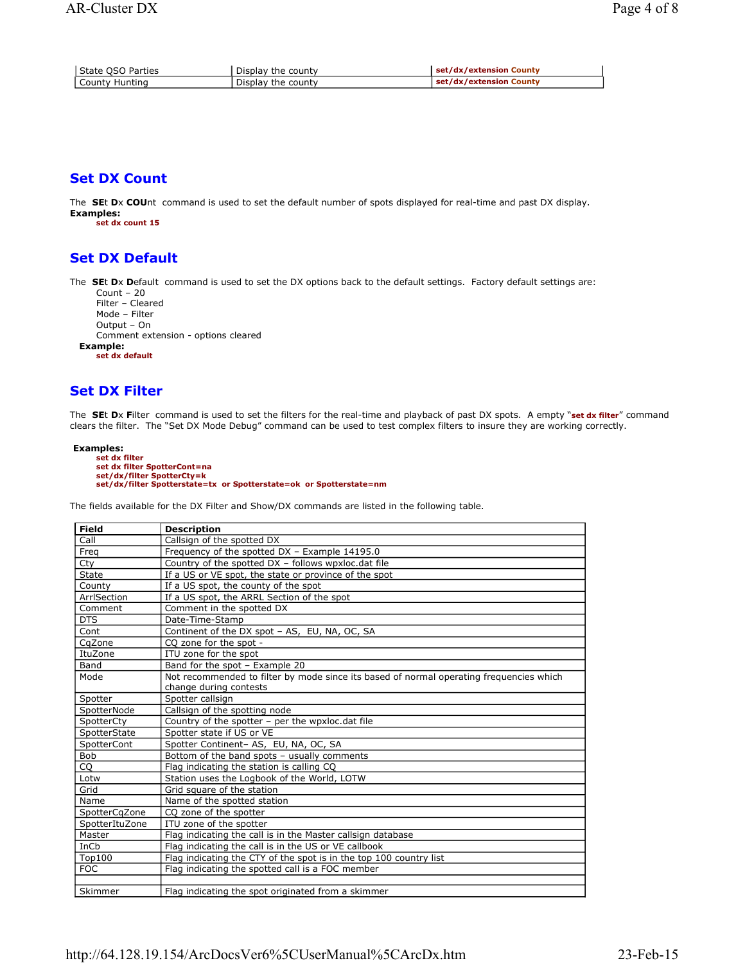| l State OSO Parties | Display the county | set/dx/extension County |
|---------------------|--------------------|-------------------------|
| l County Huntina    | Display the county | set/dx/extension County |

# **Set DX Count**

The **SE**t **D**x **COU**nt command is used to set the default number of spots displayed for real-time and past DX display. **Examples:**

**set dx count 15** 

# **Set DX Default**

The **SE**t **D**x **D**efault command is used to set the DX options back to the default settings. Factory default settings are:

```
Count – 20
   Filter – Cleared
   Mode – Filter
   Output – On
   Comment extension - options cleared
Example:
```
**set dx default**

# **Set DX Filter**

The **SE**t **D**x **F**ilter command is used to set the filters for the real-time and playback of past DX spots. A empty "**set dx filter**" command clears the filter. The "Set DX Mode Debug" command can be used to test complex filters to insure they are working correctly.

```
Examples:
      set dx filter 
       set dx filter SpotterCont=na 
set/dx/filter SpotterCty=k
      set/dx/filter Spotterstate=tx or Spotterstate=ok or Spotterstate=nm
```
The fields available for the DX Filter and Show/DX commands are listed in the following table.

| <b>Field</b>   | <b>Description</b>                                                                      |
|----------------|-----------------------------------------------------------------------------------------|
| Call           | Callsign of the spotted DX                                                              |
| Freq           | Frequency of the spotted DX - Example 14195.0                                           |
| Cty            | Country of the spotted DX - follows wpxloc.dat file                                     |
| State          | If a US or VE spot, the state or province of the spot                                   |
| County         | If a US spot, the county of the spot                                                    |
| ArrlSection    | If a US spot, the ARRL Section of the spot                                              |
| Comment        | Comment in the spotted DX                                                               |
| <b>DTS</b>     | Date-Time-Stamp                                                                         |
| Cont           | Continent of the DX spot - AS, EU, NA, OC, SA                                           |
| CqZone         | CO zone for the spot -                                                                  |
| ItuZone        | ITU zone for the spot                                                                   |
| Band           | Band for the spot - Example 20                                                          |
| Mode           | Not recommended to filter by mode since its based of normal operating frequencies which |
|                | change during contests                                                                  |
| Spotter        | Spotter callsign                                                                        |
| SpotterNode    | Callsign of the spotting node                                                           |
| SpotterCty     | Country of the spotter - per the wpxloc.dat file                                        |
| SpotterState   | Spotter state if US or VE                                                               |
| SpotterCont    | Spotter Continent-AS, EU, NA, OC, SA                                                    |
| <b>Bob</b>     | Bottom of the band spots - usually comments                                             |
| CQ             | Flag indicating the station is calling CQ                                               |
| Lotw           | Station uses the Logbook of the World, LOTW                                             |
| Grid           | Grid square of the station                                                              |
| Name           | Name of the spotted station                                                             |
| SpotterCqZone  | CO zone of the spotter                                                                  |
| SpotterItuZone | ITU zone of the spotter                                                                 |
| Master         | Flag indicating the call is in the Master callsign database                             |
| InCb           | Flag indicating the call is in the US or VE callbook                                    |
| Top100         | Flag indicating the CTY of the spot is in the top 100 country list                      |
| <b>FOC</b>     | Flag indicating the spotted call is a FOC member                                        |
|                |                                                                                         |
| Skimmer        | Flag indicating the spot originated from a skimmer                                      |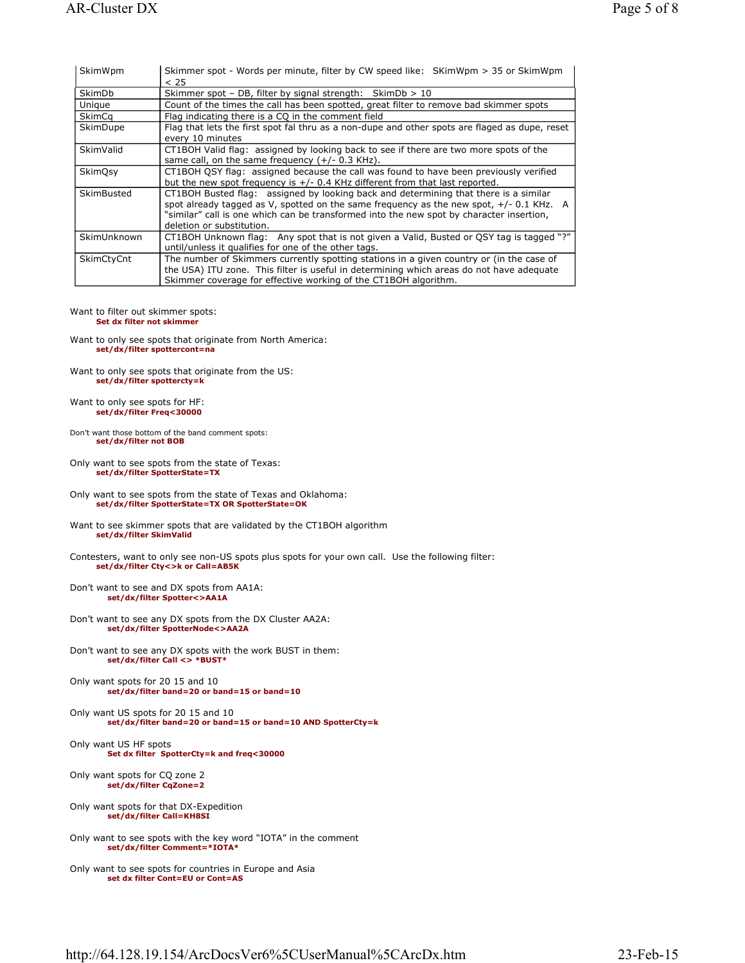| SkimWpm     | Skimmer spot - Words per minute, filter by CW speed like: SKimWpm > 35 or SkimWpm                                                                                                                                                                                                                         |
|-------------|-----------------------------------------------------------------------------------------------------------------------------------------------------------------------------------------------------------------------------------------------------------------------------------------------------------|
|             | < 25                                                                                                                                                                                                                                                                                                      |
| SkimDb      | Skimmer spot - DB, filter by signal strength: SkimDb $> 10$                                                                                                                                                                                                                                               |
| Unique      | Count of the times the call has been spotted, great filter to remove bad skimmer spots                                                                                                                                                                                                                    |
| SkimCq      | Flag indicating there is a CQ in the comment field                                                                                                                                                                                                                                                        |
| SkimDupe    | Flag that lets the first spot fal thru as a non-dupe and other spots are flaged as dupe, reset<br>every 10 minutes                                                                                                                                                                                        |
| SkimValid   | CT1BOH Valid flag: assigned by looking back to see if there are two more spots of the<br>same call, on the same frequency $(+/- 0.3$ KHz).                                                                                                                                                                |
| SkimOsy     | CT1BOH QSY flag: assigned because the call was found to have been previously verified<br>but the new spot frequency is +/- 0.4 KHz different from that last reported.                                                                                                                                     |
| SkimBusted  | CT1BOH Busted flag: assigned by looking back and determining that there is a similar<br>spot already tagged as V, spotted on the same frequency as the new spot, $+/-0.1$ KHz. A<br>"similar" call is one which can be transformed into the new spot by character insertion,<br>deletion or substitution. |
| SkimUnknown | CT1BOH Unknown flag: Any spot that is not given a Valid, Busted or QSY tag is tagged "?"<br>until/unless it qualifies for one of the other tags.                                                                                                                                                          |
| SkimCtyCnt  | The number of Skimmers currently spotting stations in a given country or (in the case of<br>the USA) ITU zone. This filter is useful in determining which areas do not have adequate<br>Skimmer coverage for effective working of the CT1BOH algorithm.                                                   |

#### Want to filter out skimmer spots:

#### **Set dx filter not skimmer**

- Want to only see spots that originate from North America: **set/dx/filter spottercont=na**
- Want to only see spots that originate from the US: **set/dx/filter spottercty=k**
- Want to only see spots for HF: **set/dx/filter Freq<30000**
- Don't want those bottom of the band comment spots: **set/dx/filter not BOB**
- Only want to see spots from the state of Texas: **set/dx/filter SpotterState=TX**
- Only want to see spots from the state of Texas and Oklahoma: **set/dx/filter SpotterState=TX OR SpotterState=OK**
- Want to see skimmer spots that are validated by the CT1BOH algorithm **set/dx/filter SkimValid**
- Contesters, want to only see non-US spots plus spots for your own call. Use the following filter: **set/dx/filter Cty<>k or Call=AB5K**
- Don't want to see and DX spots from AA1A:  **set/dx/filter Spotter<>AA1A**
- Don't want to see any DX spots from the DX Cluster AA2A:  **set/dx/filter SpotterNode<>AA2A**
- Don't want to see any DX spots with the work BUST in them:  **set/dx/filter Call <> \*BUST\***
- Only want spots for 20 15 and 10  **set/dx/filter band=20 or band=15 or band=10**
- Only want US spots for 20 15 and 10  **set/dx/filter band=20 or band=15 or band=10 AND SpotterCty=k**
- Only want US HF spots  **Set dx filter SpotterCty=k and freq<30000**
- Only want spots for CQ zone 2  **set/dx/filter CqZone=2**
- Only want spots for that DX-Expedition  **set/dx/filter Call=KH8SI**
- Only want to see spots with the key word "IOTA" in the comment  **set/dx/filter Comment=\*IOTA\***
- Only want to see spots for countries in Europe and Asia  **set dx filter Cont=EU or Cont=AS**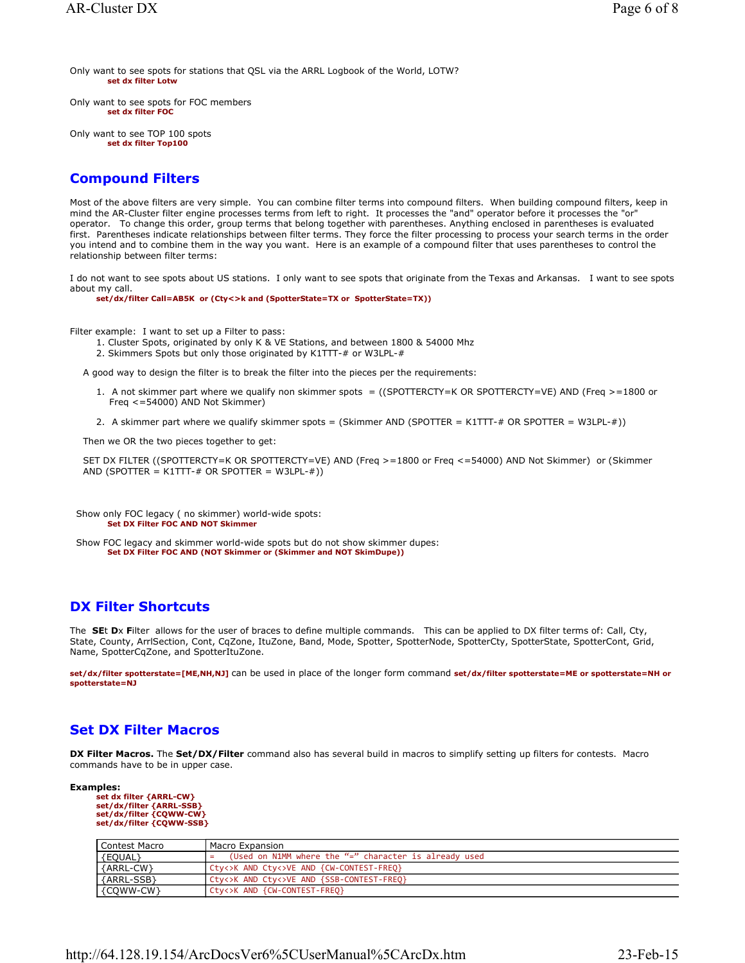Only want to see spots for stations that QSL via the ARRL Logbook of the World, LOTW?  **set dx filter Lotw**

Only want to see spots for FOC members  **set dx filter FOC**

Only want to see TOP 100 spots  **set dx filter Top100**

# **Compound Filters**

Most of the above filters are very simple. You can combine filter terms into compound filters. When building compound filters, keep in mind the AR-Cluster filter engine processes terms from left to right. It processes the "and" operator before it processes the "or" operator. To change this order, group terms that belong together with parentheses. Anything enclosed in parentheses is evaluated first. Parentheses indicate relationships between filter terms. They force the filter processing to process your search terms in the order you intend and to combine them in the way you want. Here is an example of a compound filter that uses parentheses to control the relationship between filter terms:

I do not want to see spots about US stations. I only want to see spots that originate from the Texas and Arkansas. I want to see spots about my call.

**set/dx/filter Call=AB5K or (Cty<>k and (SpotterState=TX or SpotterState=TX))**

Filter example: I want to set up a Filter to pass:

- 1. Cluster Spots, originated by only K & VE Stations, and between 1800 & 54000 Mhz
- 2. Skimmers Spots but only those originated by K1TTT-# or W3LPL-#

A good way to design the filter is to break the filter into the pieces per the requirements:

- 1. A not skimmer part where we qualify non skimmer spots = ((SPOTTERCTY=K OR SPOTTERCTY=VE) AND (Freq >=1800 or Freq <=54000) AND Not Skimmer)
- 2. A skimmer part where we qualify skimmer spots = (Skimmer AND (SPOTTER = K1TTT-# OR SPOTTER = W3LPL-#))

Then we OR the two pieces together to get:

SET DX FILTER ((SPOTTERCTY=K OR SPOTTERCTY=VE) AND (Freq >=1800 or Freq <=54000) AND Not Skimmer) or (Skimmer AND (SPOTTER = K1TTT-# OR SPOTTER = W3LPL-#))

 Show only FOC legacy ( no skimmer) world-wide spots: **Set DX Filter FOC AND NOT Skimmer** 

 Show FOC legacy and skimmer world-wide spots but do not show skimmer dupes:  **Set DX Filter FOC AND (NOT Skimmer or (Skimmer and NOT SkimDupe))**

### **DX Filter Shortcuts**

The **SE**t **D**x **F**ilter allows for the user of braces to define multiple commands. This can be applied to DX filter terms of: Call, Cty, State, County, ArrlSection, Cont, CqZone, ItuZone, Band, Mode, Spotter, SpotterNode, SpotterCty, SpotterState, SpotterCont, Grid, Name, SpotterCqZone, and SpotterItuZone.

**set/dx/filter spotterstate=[ME,NH,NJ]** can be used in place of the longer form command **set/dx/filter spotterstate=ME or spotterstate=NH or spotterstate=NJ**

## **Set DX Filter Macros**

**DX Filter Macros.** The **Set/DX/Filter** command also has several build in macros to simplify setting up filters for contests. Macro commands have to be in upper case.

```
Examples:
       set dx filter {ARRL-CW} 
        set/dx/filter {ARRL-SSB}
set/dx/filter {CQWW-CW}
       set/dx/filter {CQWW-SSB}
```

| Contest Macro | Macro Expansion                                            |
|---------------|------------------------------------------------------------|
| {EQUAL}       | (Used on N1MM where the "=" character is already used<br>⋍ |
| {ARRL-CW}     | Cty<>K AND Cty<>VE AND {CW-CONTEST-FREQ}                   |
| {ARRL-SSB}    | Cty<>K AND Cty<>VE AND {SSB-CONTEST-FREQ}                  |
| {COWW-CW}     | Cty<>K AND {CW-CONTEST-FREQ}                               |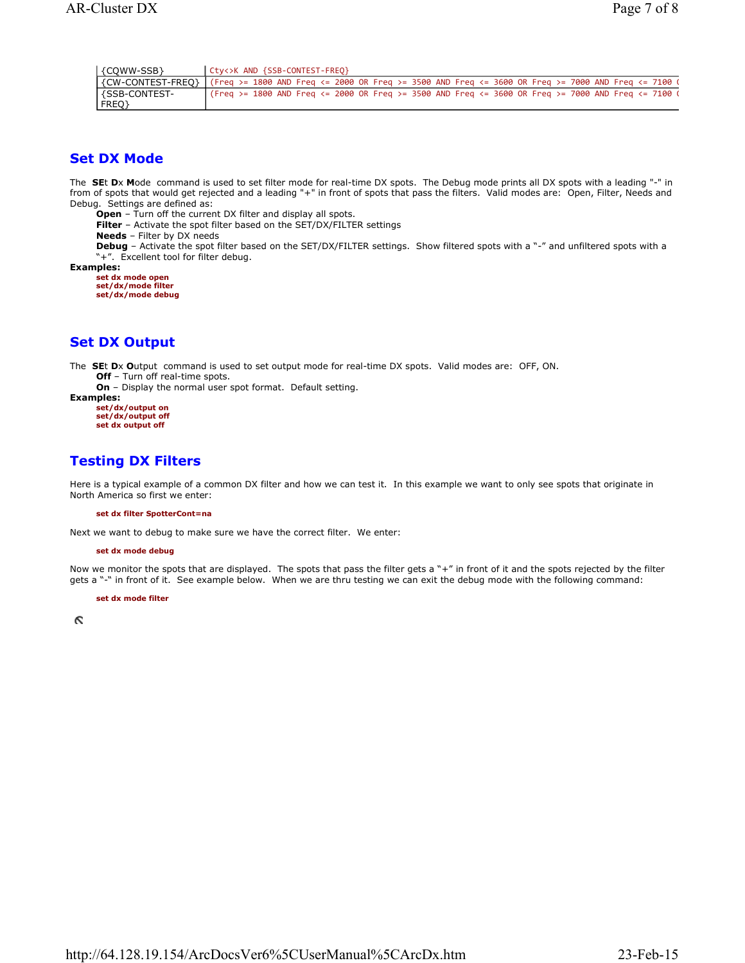| {COWW-SSB}      | Cty<>K AND {SSB-CONTEST-FREO}                                                                                        |
|-----------------|----------------------------------------------------------------------------------------------------------------------|
|                 | {CW-CONTEST-FREQ} (Freq >= 1800 AND Freq <= 2000 OR Freq >= 3500 AND Freq <= 3600 OR Freq >= 7000 AND Freq <= 7100 ( |
| l {SSB-CONTEST- | $\frac{1}{2}$ (Freq >= 1800 AND Freq <= 2000 OR Freq >= 3500 AND Freq <= 3600 OR Freq >= 7000 AND Freq <= 7100 (     |
| FREQ}           |                                                                                                                      |

## **Set DX Mode**

The **SE**t **D**x **M**ode command is used to set filter mode for real-time DX spots. The Debug mode prints all DX spots with a leading "-" in from of spots that would get rejected and a leading "+" in front of spots that pass the filters. Valid modes are: Open, Filter, Needs and Debug. Settings are defined as:

**Open** – Turn off the current DX filter and display all spots.

**Filter** – Activate the spot filter based on the SET/DX/FILTER settings

**Needs** – Filter by DX needs

**Debug** – Activate the spot filter based on the SET/DX/FILTER settings. Show filtered spots with a "-" and unfiltered spots with a "+". Excellent tool for filter debug.

**Examples:**

**set dx mode open set/dx/mode filter set/dx/mode debug** 

# **Set DX Output**

The **SE**t **D**x **O**utput command is used to set output mode for real-time DX spots. Valid modes are: OFF, ON. **Off** – Turn off real-time spots.

**On** – Display the normal user spot format. Default setting.

**Examples: set/dx/output on set/dx/output off** 

**set dx output off** 

# **Testing DX Filters**

Here is a typical example of a common DX filter and how we can test it. In this example we want to only see spots that originate in North America so first we enter:

#### **set dx filter SpotterCont=na**

Next we want to debug to make sure we have the correct filter. We enter:

#### **set dx mode debug**

Now we monitor the spots that are displayed. The spots that pass the filter gets a "+" in front of it and the spots rejected by the filter gets a "-" in front of it. See example below. When we are thru testing we can exit the debug mode with the following command:

**set dx mode filter** 

**S**